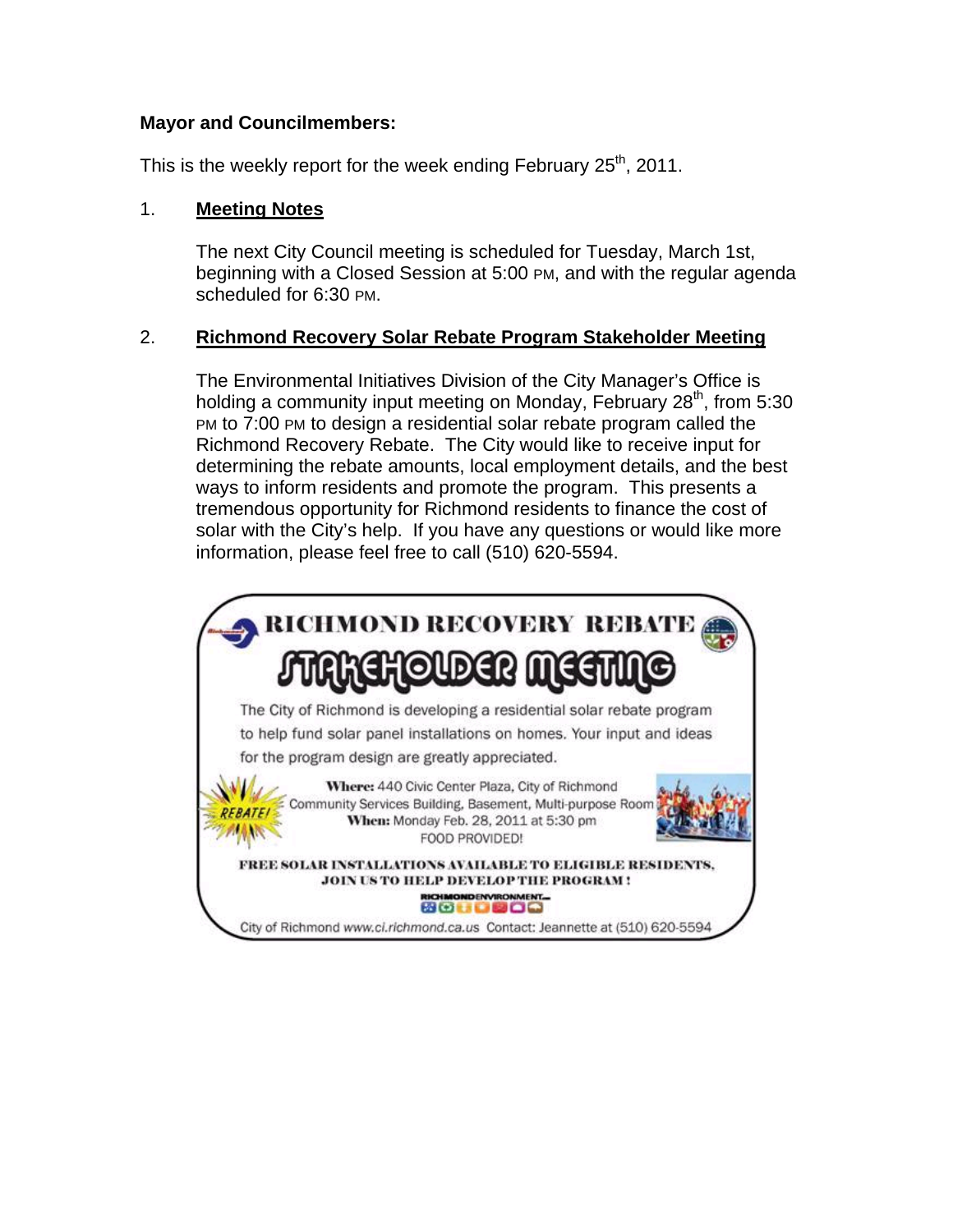#### **Mayor and Councilmembers:**

This is the weekly report for the week ending February  $25<sup>th</sup>$ , 2011.

### 1. **Meeting Notes**

The next City Council meeting is scheduled for Tuesday, March 1st, beginning with a Closed Session at 5:00 PM, and with the regular agenda scheduled for 6:30 PM.

## 2. **Richmond Recovery Solar Rebate Program Stakeholder Meeting**

The Environmental Initiatives Division of the City Manager's Office is holding a community input meeting on Monday, February  $28<sup>th</sup>$ , from 5:30 PM to 7:00 PM to design a residential solar rebate program called the Richmond Recovery Rebate. The City would like to receive input for determining the rebate amounts, local employment details, and the best ways to inform residents and promote the program. This presents a tremendous opportunity for Richmond residents to finance the cost of solar with the City's help. If you have any questions or would like more information, please feel free to call (510) 620-5594.

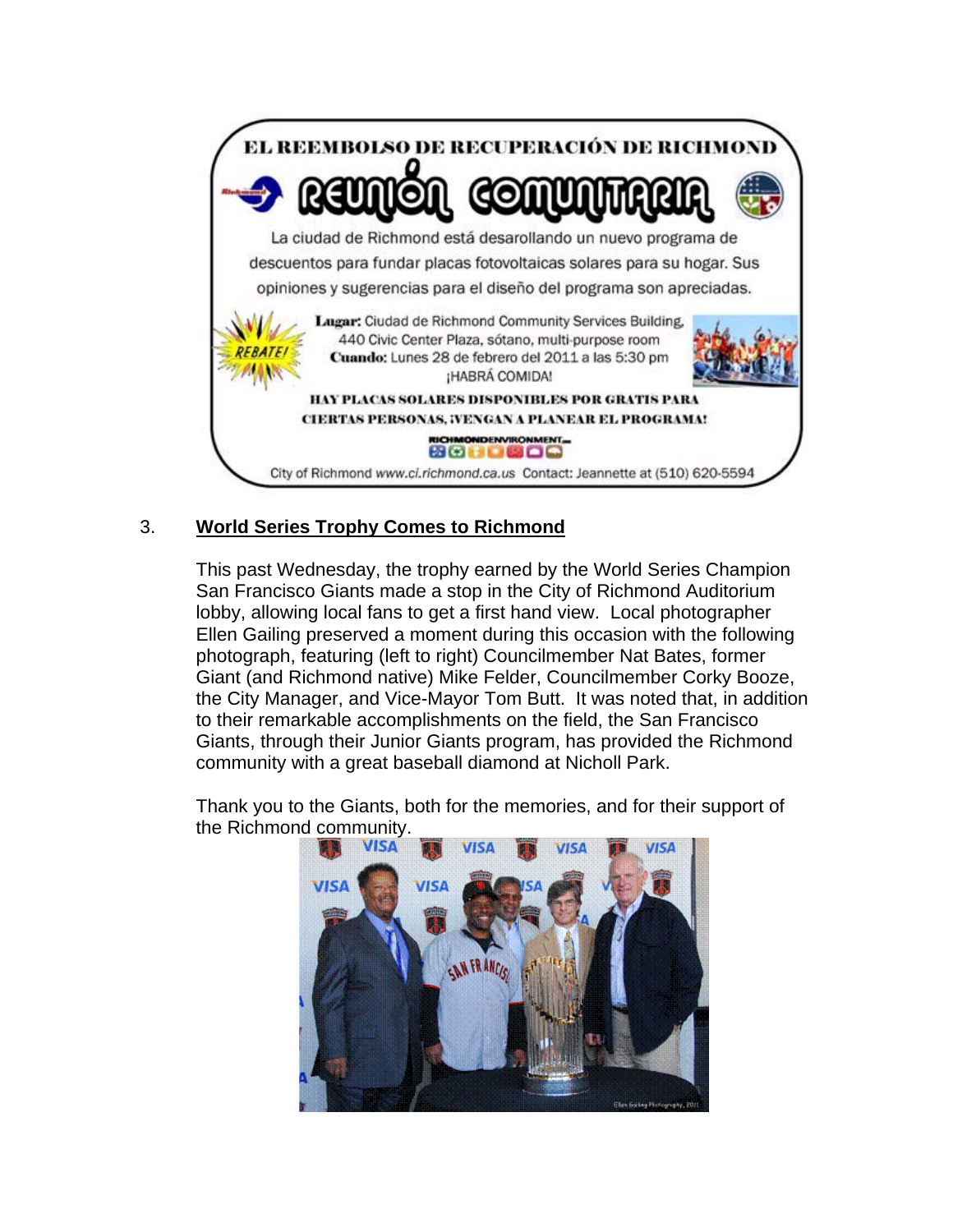

# 3. **World Series Trophy Comes to Richmond**

This past Wednesday, the trophy earned by the World Series Champion San Francisco Giants made a stop in the City of Richmond Auditorium lobby, allowing local fans to get a first hand view. Local photographer Ellen Gailing preserved a moment during this occasion with the following photograph, featuring (left to right) Councilmember Nat Bates, former Giant (and Richmond native) Mike Felder, Councilmember Corky Booze, the City Manager, and Vice-Mayor Tom Butt. It was noted that, in addition to their remarkable accomplishments on the field, the San Francisco Giants, through their Junior Giants program, has provided the Richmond community with a great baseball diamond at Nicholl Park.

Thank you to the Giants, both for the memories, and for their support of the Richmond community.

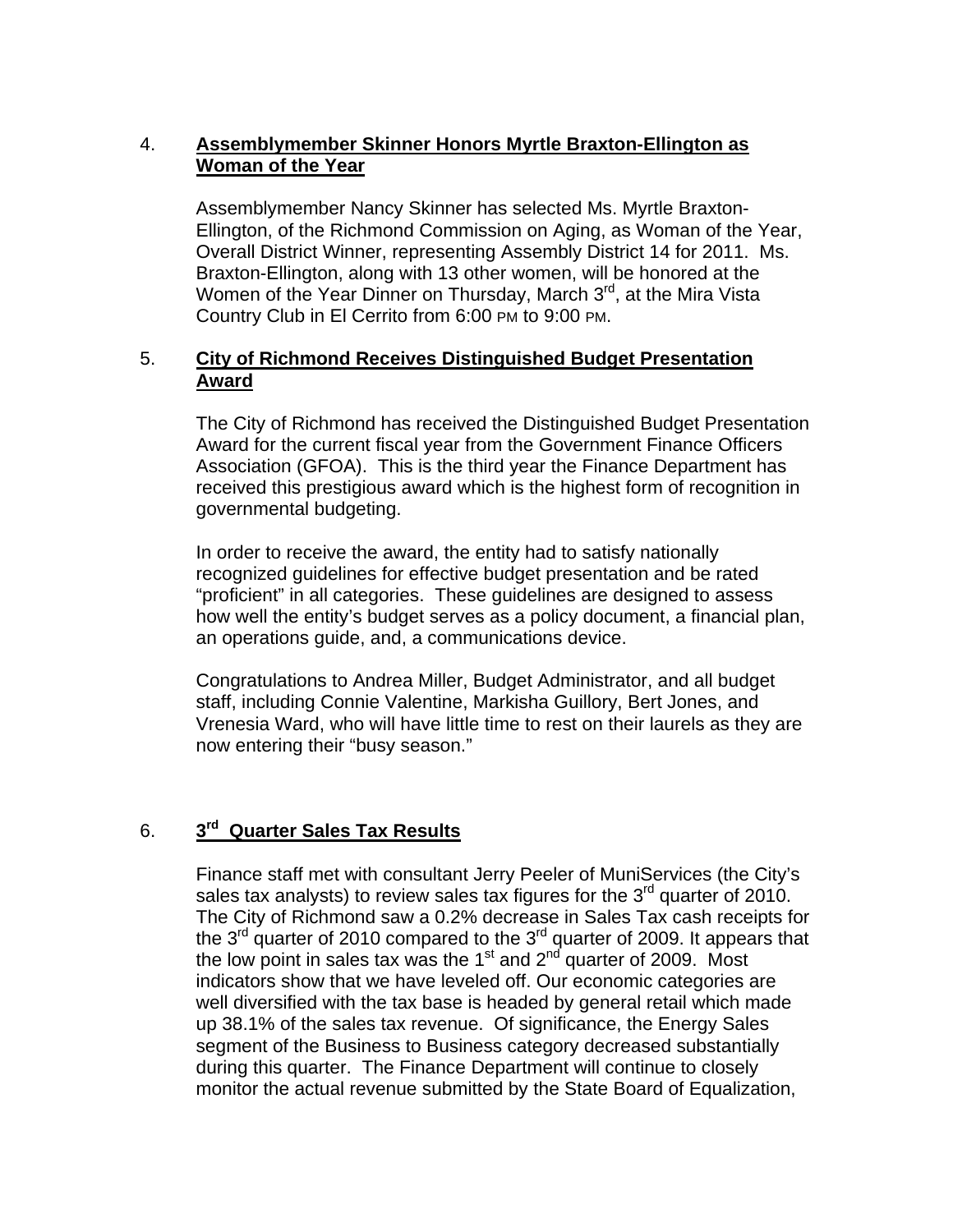## 4. **Assemblymember Skinner Honors Myrtle Braxton-Ellington as Woman of the Year**

Assemblymember Nancy Skinner has selected Ms. Myrtle Braxton-Ellington, of the Richmond Commission on Aging, as Woman of the Year, Overall District Winner, representing Assembly District 14 for 2011. Ms. Braxton-Ellington, along with 13 other women, will be honored at the Women of the Year Dinner on Thursday, March 3<sup>rd</sup>, at the Mira Vista Country Club in El Cerrito from 6:00 PM to 9:00 PM.

### 5. **City of Richmond Receives Distinguished Budget Presentation Award**

The City of Richmond has received the Distinguished Budget Presentation Award for the current fiscal year from the Government Finance Officers Association (GFOA). This is the third year the Finance Department has received this prestigious award which is the highest form of recognition in governmental budgeting.

In order to receive the award, the entity had to satisfy nationally recognized guidelines for effective budget presentation and be rated "proficient" in all categories. These guidelines are designed to assess how well the entity's budget serves as a policy document, a financial plan, an operations guide, and, a communications device.

Congratulations to Andrea Miller, Budget Administrator, and all budget staff, including Connie Valentine, Markisha Guillory, Bert Jones, and Vrenesia Ward, who will have little time to rest on their laurels as they are now entering their "busy season."

## 6. **3rd Quarter Sales Tax Results**

Finance staff met with consultant Jerry Peeler of MuniServices (the City's sales tax analysts) to review sales tax figures for the  $3<sup>rd</sup>$  quarter of 2010. The City of Richmond saw a 0.2% decrease in Sales Tax cash receipts for the 3<sup>rd</sup> quarter of 2010 compared to the 3<sup>rd</sup> quarter of 2009. It appears that the low point in sales tax was the 1 $\mathrm{^{st}}$  and  $\mathrm{2^{nd}}$  quarter of 2009. Most indicators show that we have leveled off. Our economic categories are well diversified with the tax base is headed by general retail which made up 38.1% of the sales tax revenue. Of significance, the Energy Sales segment of the Business to Business category decreased substantially during this quarter. The Finance Department will continue to closely monitor the actual revenue submitted by the State Board of Equalization,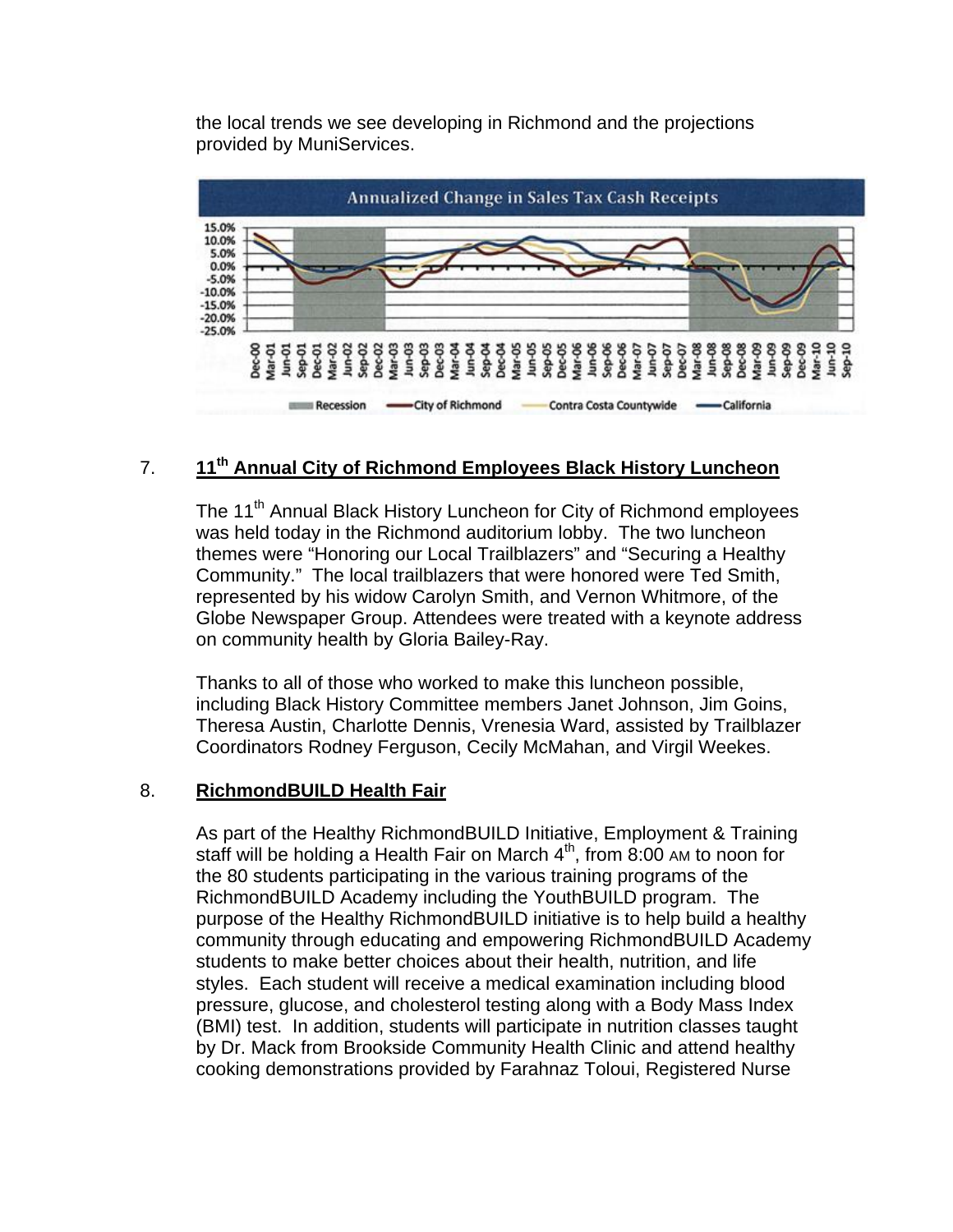the local trends we see developing in Richmond and the projections provided by MuniServices.



## 7. **11th Annual City of Richmond Employees Black History Luncheon**

The 11<sup>th</sup> Annual Black History Luncheon for City of Richmond employees was held today in the Richmond auditorium lobby. The two luncheon themes were "Honoring our Local Trailblazers" and "Securing a Healthy Community." The local trailblazers that were honored were Ted Smith, represented by his widow Carolyn Smith, and Vernon Whitmore, of the Globe Newspaper Group. Attendees were treated with a keynote address on community health by Gloria Bailey-Ray.

Thanks to all of those who worked to make this luncheon possible, including Black History Committee members Janet Johnson, Jim Goins, Theresa Austin, Charlotte Dennis, Vrenesia Ward, assisted by Trailblazer Coordinators Rodney Ferguson, Cecily McMahan, and Virgil Weekes.

#### 8. **RichmondBUILD Health Fair**

As part of the Healthy RichmondBUILD Initiative, Employment & Training staff will be holding a Health Fair on March  $4<sup>th</sup>$ , from 8:00 AM to noon for the 80 students participating in the various training programs of the RichmondBUILD Academy including the YouthBUILD program. The purpose of the Healthy RichmondBUILD initiative is to help build a healthy community through educating and empowering RichmondBUILD Academy students to make better choices about their health, nutrition, and life styles. Each student will receive a medical examination including blood pressure, glucose, and cholesterol testing along with a Body Mass Index (BMI) test. In addition, students will participate in nutrition classes taught by Dr. Mack from Brookside Community Health Clinic and attend healthy cooking demonstrations provided by Farahnaz Toloui, Registered Nurse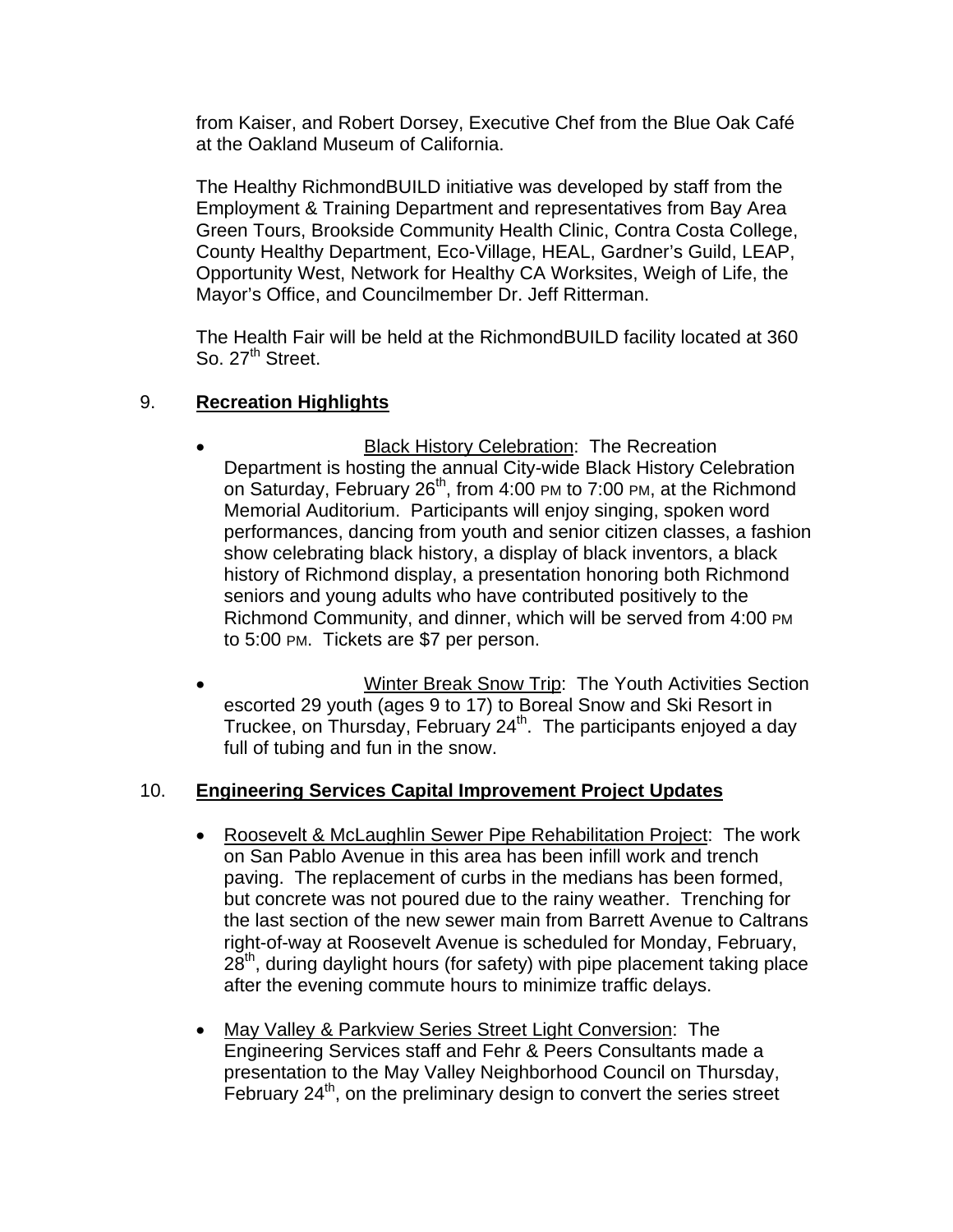from Kaiser, and Robert Dorsey, Executive Chef from the Blue Oak Café at the Oakland Museum of California.

The Healthy RichmondBUILD initiative was developed by staff from the Employment & Training Department and representatives from Bay Area Green Tours, Brookside Community Health Clinic, Contra Costa College, County Healthy Department, Eco-Village, HEAL, Gardner's Guild, LEAP, Opportunity West, Network for Healthy CA Worksites, Weigh of Life, the Mayor's Office, and Councilmember Dr. Jeff Ritterman.

The Health Fair will be held at the RichmondBUILD facility located at 360 So. 27<sup>th</sup> Street.

# 9. **Recreation Highlights**

- Black History Celebration: The Recreation Department is hosting the annual City-wide Black History Celebration on Saturday, February 26<sup>th</sup>, from 4:00 PM to 7:00 PM, at the Richmond Memorial Auditorium. Participants will enjoy singing, spoken word performances, dancing from youth and senior citizen classes, a fashion show celebrating black history, a display of black inventors, a black history of Richmond display, a presentation honoring both Richmond seniors and young adults who have contributed positively to the Richmond Community, and dinner, which will be served from 4:00 PM to 5:00 PM. Tickets are \$7 per person.
- Winter Break Snow Trip: The Youth Activities Section escorted 29 youth (ages 9 to 17) to Boreal Snow and Ski Resort in Truckee, on Thursday, February 24<sup>th</sup>. The participants enjoyed a day full of tubing and fun in the snow.

## 10. **Engineering Services Capital Improvement Project Updates**

- Roosevelt & McLaughlin Sewer Pipe Rehabilitation Project: The work on San Pablo Avenue in this area has been infill work and trench paving. The replacement of curbs in the medians has been formed, but concrete was not poured due to the rainy weather. Trenching for the last section of the new sewer main from Barrett Avenue to Caltrans right-of-way at Roosevelt Avenue is scheduled for Monday, February,  $28<sup>th</sup>$ , during daylight hours (for safety) with pipe placement taking place after the evening commute hours to minimize traffic delays.
- May Valley & Parkview Series Street Light Conversion: The Engineering Services staff and Fehr & Peers Consultants made a presentation to the May Valley Neighborhood Council on Thursday, February 24<sup>th</sup>, on the preliminary design to convert the series street